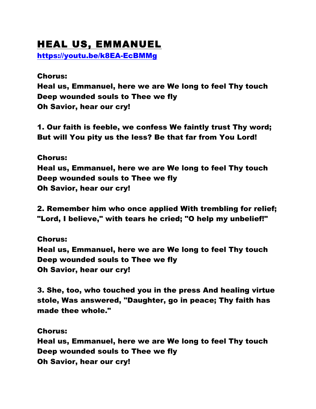# HEAL US, EMMANUEL

https://youtu.be/k8EA-EcBMMg

Chorus:

Heal us, Emmanuel, here we are We long to feel Thy touch Deep wounded souls to Thee we fly Oh Savior, hear our cry!

1. Our faith is feeble, we confess We faintly trust Thy word; But will You pity us the less? Be that far from You Lord!

Chorus: Heal us, Emmanuel, here we are We long to feel Thy touch Deep wounded souls to Thee we fly Oh Savior, hear our cry!

2. Remember him who once applied With trembling for relief; "Lord, I believe," with tears he cried; "O help my unbelief!"

Chorus: Heal us, Emmanuel, here we are We long to feel Thy touch Deep wounded souls to Thee we fly Oh Savior, hear our cry!

3. She, too, who touched you in the press And healing virtue stole, Was answered, "Daughter, go in peace; Thy faith has made thee whole."

Chorus: Heal us, Emmanuel, here we are We long to feel Thy touch Deep wounded souls to Thee we fly Oh Savior, hear our cry!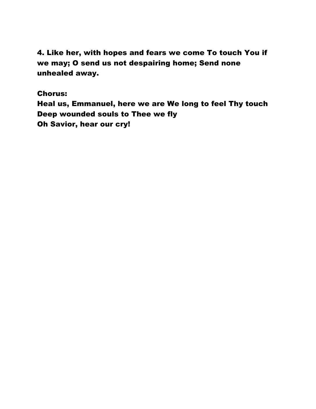### 4. Like her, with hopes and fears we come To touch You if we may; O send us not despairing home; Send none unhealed away.

### Chorus:

Heal us, Emmanuel, here we are We long to feel Thy touch Deep wounded souls to Thee we fly Oh Savior, hear our cry!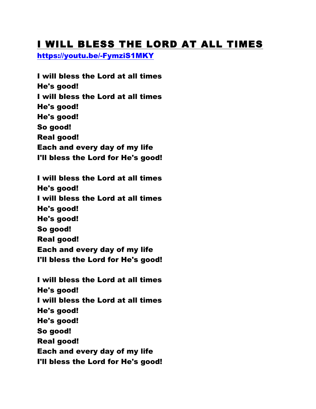# I WILL BLESS THE LORD AT ALL TIMES

https://youtu.be/-FymziS1MKY

I will bless the Lord at all times He's good! I will bless the Lord at all times He's good! He's good! So good! Real good! Each and every day of my life I'll bless the Lord for He's good!

I will bless the Lord at all times He's good! I will bless the Lord at all times He's good! He's good! So good! Real good! Each and every day of my life I'll bless the Lord for He's good!

I will bless the Lord at all times He's good! I will bless the Lord at all times He's good! He's good! So good! Real good! Each and every day of my life I'll bless the Lord for He's good!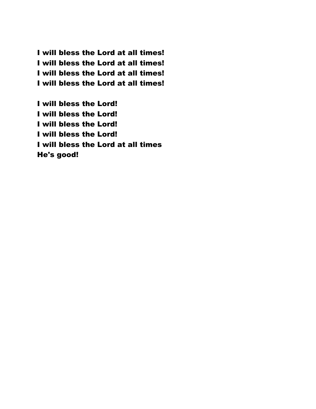I will bless the Lord at all times! I will bless the Lord at all times! I will bless the Lord at all times! I will bless the Lord at all times!

I will bless the Lord! I will bless the Lord! I will bless the Lord! I will bless the Lord! I will bless the Lord at all times He's good!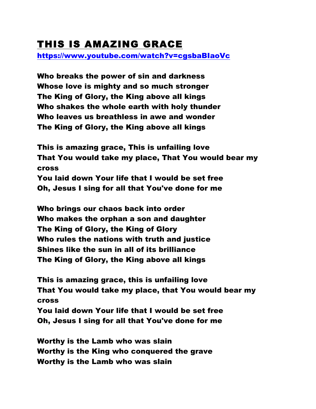# THIS IS AMAZING GRACE

https://www.youtube.com/watch?v=cgsbaBIaoVc

Who breaks the power of sin and darkness Whose love is mighty and so much stronger The King of Glory, the King above all kings Who shakes the whole earth with holy thunder Who leaves us breathless in awe and wonder The King of Glory, the King above all kings

This is amazing grace, This is unfailing love That You would take my place, That You would bear my cross You laid down Your life that I would be set free Oh, Jesus I sing for all that You've done for me

Who brings our chaos back into order Who makes the orphan a son and daughter The King of Glory, the King of Glory Who rules the nations with truth and justice Shines like the sun in all of its brilliance The King of Glory, the King above all kings

This is amazing grace, this is unfailing love That You would take my place, that You would bear my cross You laid down Your life that I would be set free Oh, Jesus I sing for all that You've done for me

Worthy is the Lamb who was slain Worthy is the King who conquered the grave Worthy is the Lamb who was slain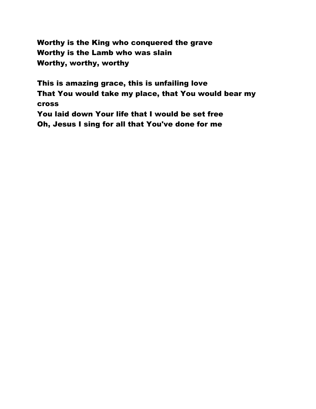Worthy is the King who conquered the grave Worthy is the Lamb who was slain Worthy, worthy, worthy

This is amazing grace, this is unfailing love That You would take my place, that You would bear my cross You laid down Your life that I would be set free Oh, Jesus I sing for all that You've done for me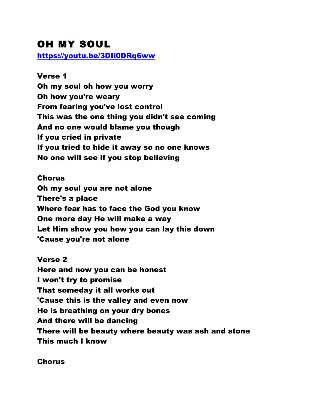# OH MY SOUL

https://youtu.be/3DIi0DRq6ww

Verse 1 Oh my soul oh how you worry Oh how you're weary From fearing you've lost control This was the one thing you didn't see coming And no one would blame you though If you cried in private If you tried to hide it away so no one knows No one will see if you stop believing

Chorus Oh my soul you are not alone There's a place Where fear has to face the God you know One more day He will make a way Let Him show you how you can lay this down 'Cause you're not alone

Verse 2 Here and now you can be honest I won't try to promise That someday it all works out 'Cause this is the valley and even now He is breathing on your dry bones And there will be dancing There will be beauty where beauty was ash and stone This much I know

Chorus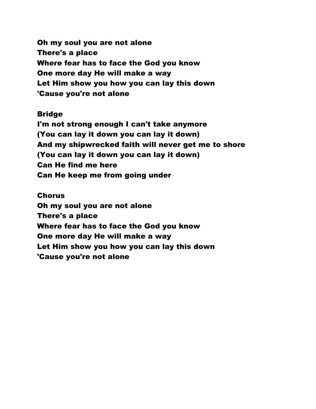Oh my soul you are not alone There's a place Where fear has to face the God you know One more day He will make a way Let Him show you how you can lay this down 'Cause you're not alone

#### **Bridge**

I'm not strong enough I can't take anymore (You can lay it down you can lay it down) And my shipwrecked faith will never get me to shore (You can lay it down you can lay it down) Can He find me here Can He keep me from going under

**Chorus** Oh my soul you are not alone There's a place Where fear has to face the God you know One more day He will make a way Let Him show you how you can lay this down 'Cause you're not alone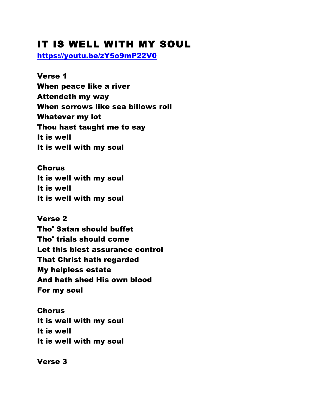# IT IS WELL WITH MY SOUL

https://youtu.be/zY5o9mP22V0

Verse 1 When peace like a river Attendeth my way When sorrows like sea billows roll Whatever my lot Thou hast taught me to say It is well It is well with my soul

**Chorus** It is well with my soul It is well It is well with my soul

Verse 2 Tho' Satan should buffet Tho' trials should come Let this blest assurance control That Christ hath regarded My helpless estate And hath shed His own blood For my soul

**Chorus** It is well with my soul It is well It is well with my soul

Verse 3